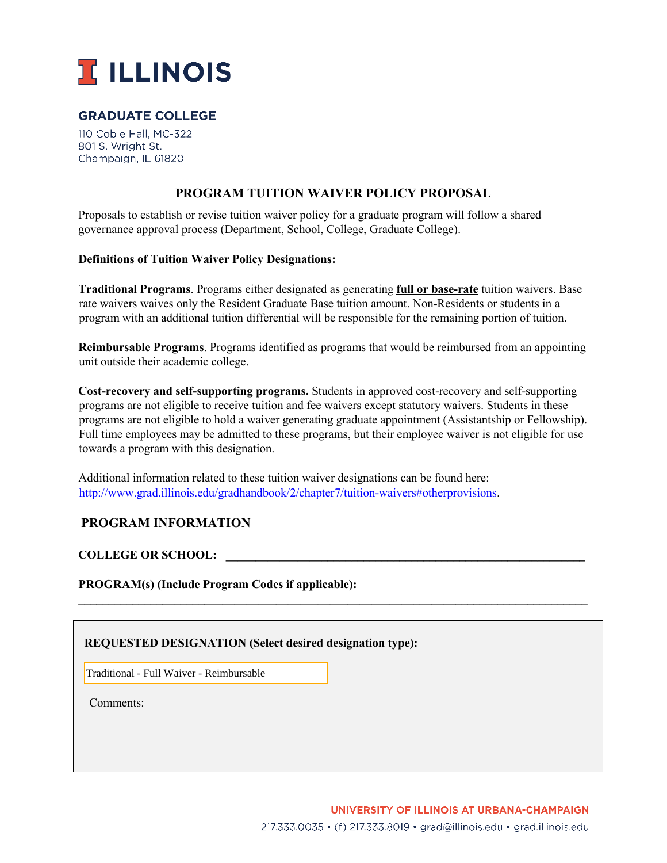

# **GRADUATE COLLEGE**

110 Coble Hall, MC-322 801 S. Wright St. Champaign, IL 61820

# **PROGRAM TUITION WAIVER POLICY PROPOSAL**

Proposals to establish or revise tuition waiver policy for a graduate program will follow a shared governance approval process (Department, School, College, Graduate College).

#### **Definitions of Tuition Waiver Policy Designations:**

**Traditional Programs**. Programs either designated as generating **full or base-rate** tuition waivers. Base rate waivers waives only the Resident Graduate Base tuition amount. Non-Residents or students in a program with an additional tuition differential will be responsible for the remaining portion of tuition.

**Reimbursable Programs**. Programs identified as programs that would be reimbursed from an appointing unit outside their academic college.

**Cost-recovery and self-supporting programs.** Students in approved cost-recovery and self-supporting programs are not eligible to receive tuition and fee waivers except statutory waivers. Students in these programs are not eligible to hold a waiver generating graduate appointment (Assistantship or Fellowship). Full time employees may be admitted to these programs, but their employee waiver is not eligible for use towards a program with this designation.

**\_\_\_\_\_\_\_\_\_\_\_\_\_\_\_\_\_\_\_\_\_\_\_\_\_\_\_\_\_\_\_\_\_\_\_\_\_\_\_\_\_\_\_\_\_\_\_\_\_\_\_\_\_\_\_\_\_\_\_\_\_\_\_\_\_\_\_\_\_\_\_\_\_\_\_\_\_\_\_\_\_\_\_\_\_** 

Additional information related to these tuition waiver designations can be found here: [http://www.grad.illinois.edu/gradhandbook/2/chapter7/tuition-waivers#otherprovisions.](http://www.grad.illinois.edu/gradhandbook/2/chapter7/tuition-waivers#otherprovisions) 

# **PROGRAM INFORMATION**

**COLLEGE OR SCHOOL: \_\_\_\_\_\_\_\_\_\_\_\_\_\_\_\_\_\_\_\_\_\_\_\_\_\_\_\_\_\_\_\_\_\_\_\_\_\_\_\_\_\_\_\_\_\_\_\_\_\_\_\_\_\_\_\_\_\_\_\_** 

**PROGRAM(s) (Include Program Codes if applicable):** 

# **REQUESTED DESIGNATION (Select desired designation type):**

**□** Traditional - Full Waiver - Reimbursable

Comments: